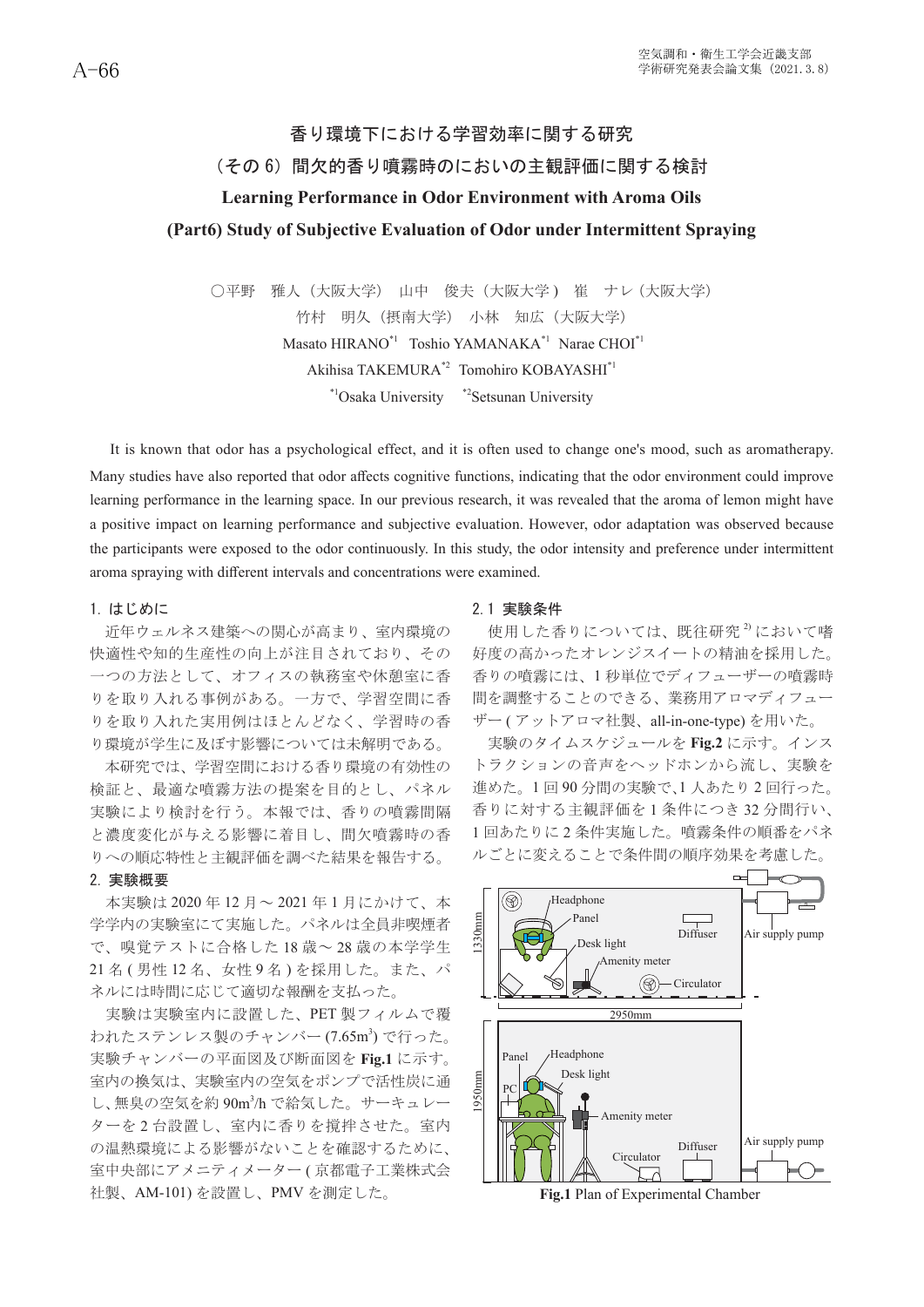# 香り環境下における学習効率に関する研究 (その6) 間欠的香り噴霧時のにおいの主観評価に関する検討 **Learning Performance in Odor Environment with Aroma Oils (Part6) Study of Subjective Evaluation of Odor under Intermittent Spraying**

○平野 雅人(大阪大学) 山中 俊夫(大阪大学) 崔 ナレ(大阪大学) 竹村 明久 (摂南大学) 小林 知広 (大阪大学) Masato HIRANO\*1 Toshio YAMANAKA\*1 Narae CHOI\*1 Akihisa TAKEMURA\*2 Tomohiro KOBAYASHI\*1 \*1Osaka University \*2Setsunan University

 It is known that odor has a psychological effect, and it is often used to change one's mood, such as aromatherapy. Many studies have also reported that odor affects cognitive functions, indicating that the odor environment could improve learning performance in the learning space. In our previous research, it was revealed that the aroma of lemon might have a positive impact on learning performance and subjective evaluation. However, odor adaptation was observed because the participants were exposed to the odor continuously. In this study, the odor intensity and preference under intermittent aroma spraving with different intervals and concentrations were examined.

### 1. はじめに

近年ウェルネス建築への関心が高まり、室内環境の 快適性や知的生産性の向上が注目されており、その 一つの方法として、オフィスの執務室や休憩室に香 りを取り入れる事例がある。一方で、学習空間に香 りを取り入れた実用例はほとんどなく、学習時の香 り環境が学生に及ぼす影響については未解明である。

本研究では、学習空間における香り環境の有効性の 検証と、最適な噴霧方法の提案を目的とし、パネル 実験により検討を行う。本報では、香りの噴霧間隔 と濃度変化が与える影響に着目し、間欠噴霧時の香 りへの順応特性と主観評価を調べた結果を報告する。

#### 2. 実験概要

本実験は 2020 年12 月~ 2021 年1月にかけて、本 学学内の実験室にて実施した。パネルは全員非喫煙者 で、嗅覚テストに合格した18歳~28歳の本学学生 21名(男性12名、女性9名)を採用した。また、パ ネルには時間に応じて適切な報酬を支払った。

実験は実験室内に設置した、PET 製フィルムで覆 われたステンレス製のチャンバー(7.65m3) で行った。 実験チャンバーの平面図及び断面図を Fig.1 に示す。 室内の換気は、実験室内の空気をポンプで活性炭に通 し、無臭の空気を約 90m3/h で給気した。サーキュレー ターを2台設置し、室内に香りを撹拌させた。室内 の温熱環境による影響がないことを確認するために、 室中央部にアメニティメーター(京都電子工業株式会 社製、AM-101) を設置し、PMV を測定した。 **Fig.1 Plan of Experimental Chamber** 

#### 2.1 実験条件

使用した香りについては、既往研究2)において嗜 好度の高かったオレンジスイートの精油を採用した。 香りの噴霧には、1秒単位でディフューザーの噴霧時 間を調整することのできる、業務用アロマディフュー ザー(アットアロマ社製、all-in-one-type) を用いた。

実験のタイムスケジュールを Fig.2 に示す。インス トラクションの音声をヘッドホンから流し、実験を 進めた。1回90分間の実験で、1人あたり2回行った。 香りに対する主観評価を1条件につき32分間行い、 1回あたりに2条件実施した。噴霧条件の順番をパネ ルごとに変えることで条件間の順序効果を考慮した。

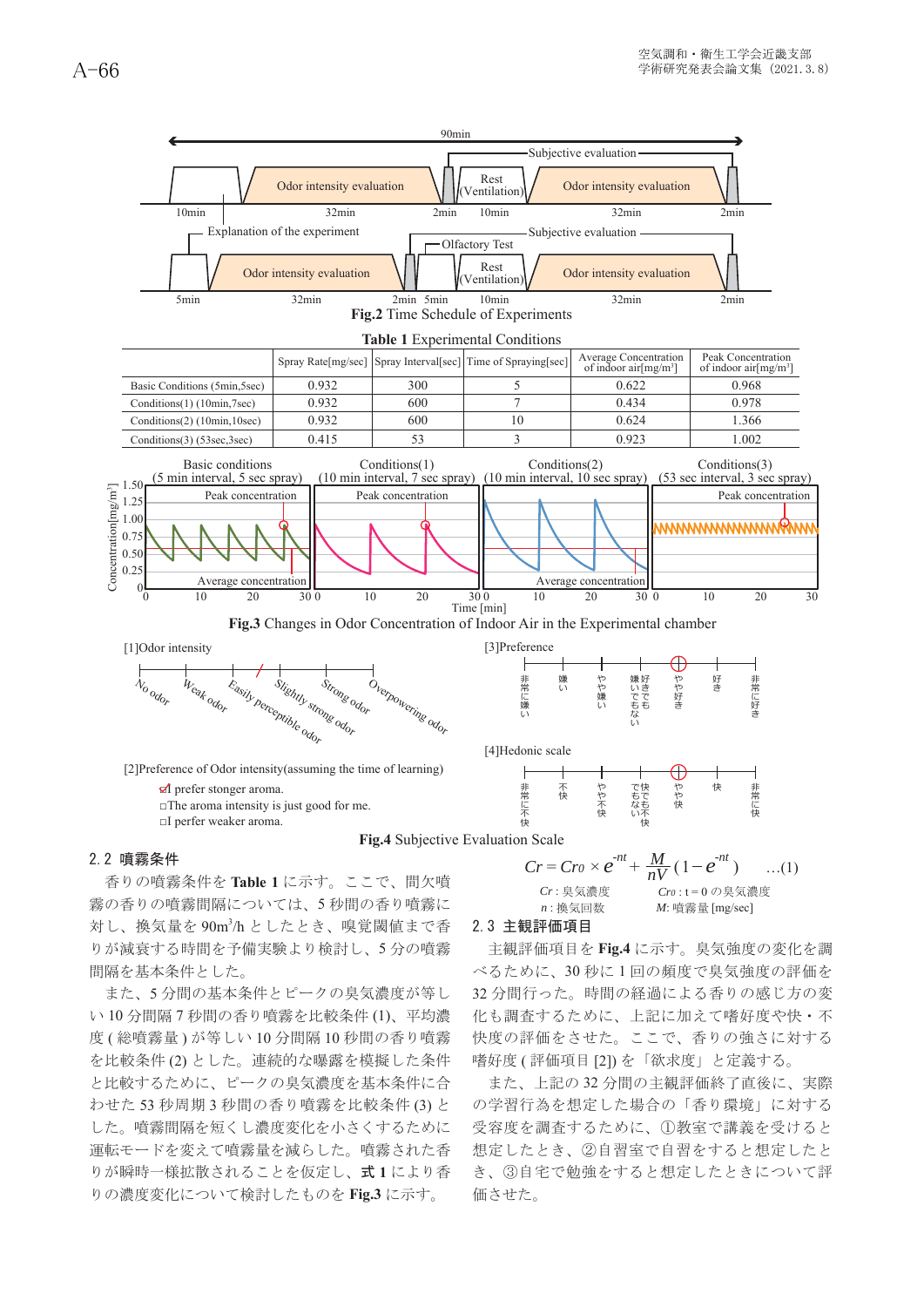



#### 2.2 噴霧条件

香りの噴霧条件をTable 1 に示す。ここで、間欠噴 霧の香りの噴霧間隔については、5秒間の香り噴霧に 対し、換気量を90m3/h としたとき、嗅覚閾値まで香 りが減衰する時間を予備実験より検討し、5分の噴霧 間隔を基本条件とした。

また、5分間の基本条件とピークの臭気濃度が等し い10 分間隔7秒間の香り噴霧を比較条件(1)、平均濃 度(総噴霧量)が等しい10分間隔10秒間の香り噴霧 を比較条件(2)とした。連続的な曝露を模擬した条件 と比較するために、ピークの臭気濃度を基本条件に合 わせた53 秒周期3秒間の香り噴霧を比較条件(3)と した。噴霧間隔を短くし濃度変化を小さくするために 運転モードを変えて噴霧量を減らした。噴霧された香 りが瞬時一様拡散されることを仮定し、式1により香 りの濃度変化について検討したものを Fig.3 に示す。



#### 2.3 主観評価項目

主観評価項目を Fig.4 に示す。臭気強度の変化を調 べるために、30秒に1回の頻度で臭気強度の評価を 32 分間行った。時間の経過による香りの感じ方の変 化も調査するために、上記に加えて嗜好度や快・不 快度の評価をさせた。ここで、香りの強さに対する 嗜好度 (評価項目[2]) を「欲求度」と定義する。

また、上記の32 分間の主観評価終了直後に、実際 の学習行為を想定した場合の「香り環境」に対する 受容度を調査するために、①教室で講義を受けると 想定したとき、②自習室で自習をすると想定したと き、③自宅で勉強をすると想定したときについて評 価させた。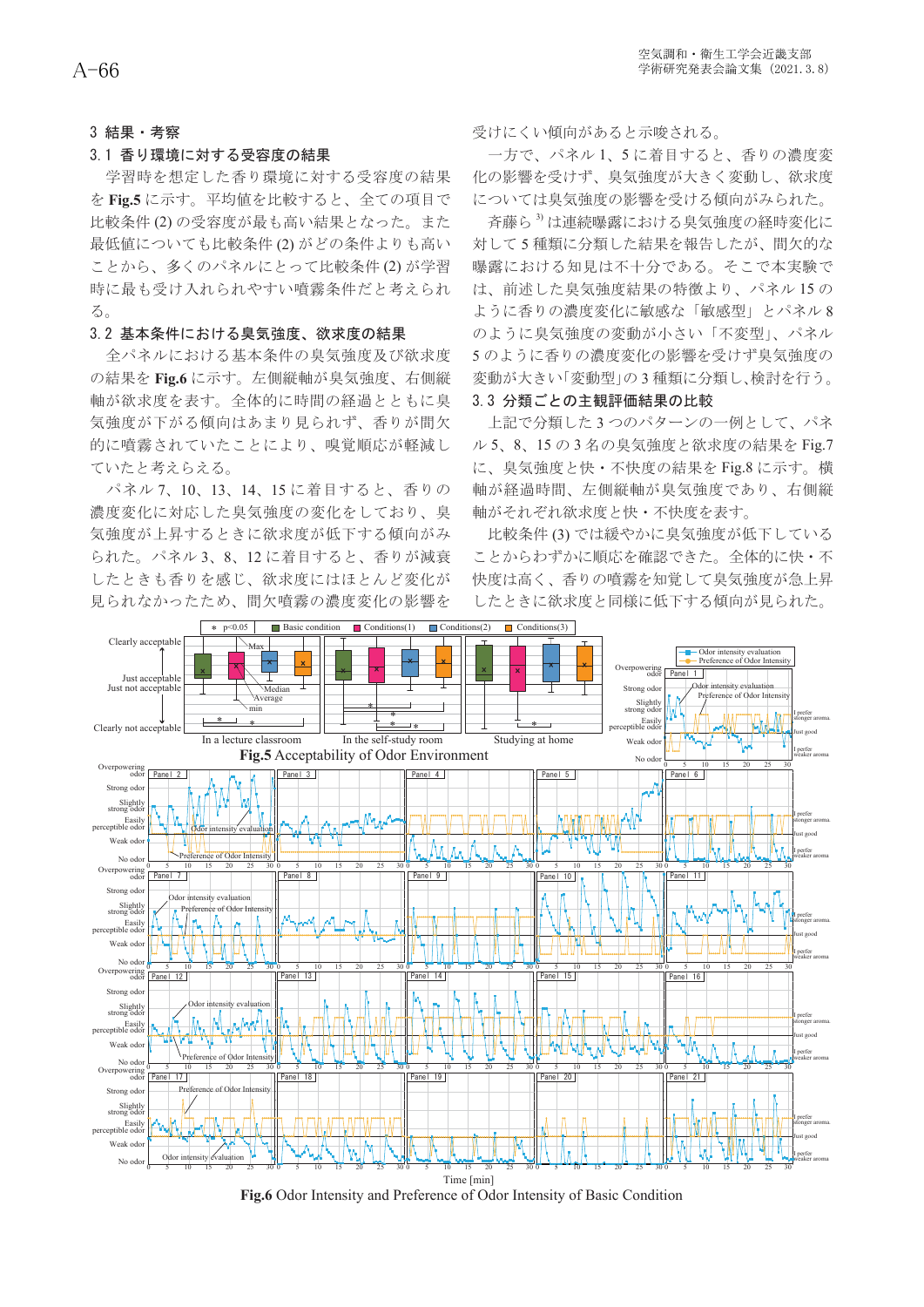#### 3 結果·考察

#### 3.1 香り環境に対する受容度の結果

学習時を想定した香り環境に対する受容度の結果 をFig.5 に示す。平均値を比較すると、全ての項目で 比較条件(2)の受容度が最も高い結果となった。また 最低値についても比較条件(2)がどの条件よりも高い ことから、多くのパネルにとって比較条件(2)が学習 時に最も受け入れられやすい噴霧条件だと考えられ る。

## 3.2 基本条件における臭気強度、欲求度の結果

全パネルにおける基本条件の臭気強度及び欲求度 の結果を Fig.6 に示す。左側縦軸が臭気強度、右側縦 軸が欲求度を表す。全体的に時間の経過とともに臭 気強度が下がる傾向はあまり見られず、香りが間欠 的に噴霧されていたことにより、嗅覚順応が軽減し ていたと考えらえる。

パネル7、10、13、14、15に着目すると、香りの 濃度変化に対応した臭気強度の変化をしており、臭 気強度が上昇するときに欲求度が低下する傾向がみ られた。パネル3、8、12 に着目すると、香りが減衰 したときも香りを感じ、欲求度にはほとんど変化が 見られなかったため、間欠噴霧の濃度変化の影響を

受けにくい傾向があると示唆される。

一方で、パネル1、5に着目すると、香りの濃度変 化の影響を受けず、臭気強度が大きく変動し、欲求度 については臭気強度の影響を受ける傾向がみられた。

斉藤ら<sup>3)</sup>は連続曝露における臭気強度の経時変化に 対して5種類に分類した結果を報告したが、間欠的な 曝露における知見は不十分である。そこで本実験で は、前述した臭気強度結果の特徴より、パネル15の ように香りの濃度変化に敏感な「敏感型」とパネル8 のように臭気強度の変動が小さい「不変型」、パネル 5のように香りの濃度変化の影響を受けず臭気強度の 変動が大きい「変動型」の3種類に分類し、検討を行う。

# 3.3 分類ごとの主観評価結果の比較

上記で分類した3つのパターンの一例として、パネ ル 5、8、15 の 3 名の臭気強度と欲求度の結果を Fig.7 に、臭気強度と快·不快度の結果を Fig.8 に示す。横 軸が経過時間、左側縦軸が臭気強度であり、右側縦 軸がそれぞれ欲求度と快・不快度を表す。

比較条件(3) では緩やかに臭気強度が低下している ことからわずかに順応を確認できた。全体的に快·不 快度は高く、香りの噴霧を知覚して臭気強度が急上昇 したときに欲求度と同様に低下する傾向が見られた。



**Fig.6** Odor Intensity and Preference of Odor Intensity of Basic Condition